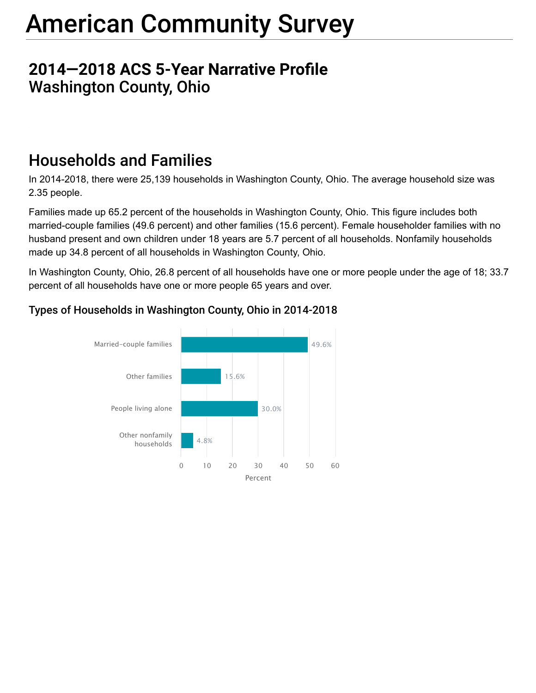# American Community Survey

### **2014–2018 ACS 5-Year Narrative Profile** Washington County, Ohio

# Households and Families

In 2014-2018, there were 25,139 households in Washington County, Ohio. The average household size was 2.35 people.

Families made up 65.2 percent of the households in Washington County, Ohio. This figure includes both married-couple families (49.6 percent) and other families (15.6 percent). Female householder families with no husband present and own children under 18 years are 5.7 percent of all households. Nonfamily households made up 34.8 percent of all households in Washington County, Ohio.

In Washington County, Ohio, 26.8 percent of all households have one or more people under the age of 18; 33.7 percent of all households have one or more people 65 years and over.



### Types of Households in Washington County, Ohio in 2014-2018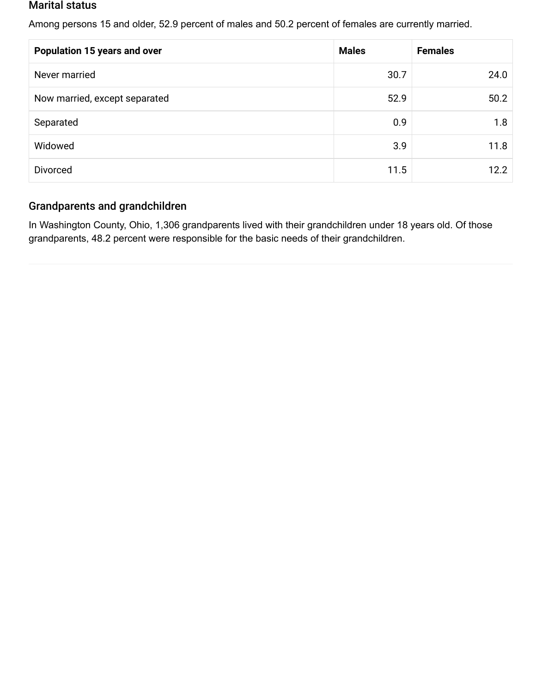#### Marital status

Among persons 15 and older, 52.9 percent of males and 50.2 percent of females are currently married.

| <b>Population 15 years and over</b> | <b>Males</b> | <b>Females</b> |
|-------------------------------------|--------------|----------------|
| Never married                       | 30.7         | 24.0           |
| Now married, except separated       | 52.9         | 50.2           |
| Separated                           | 0.9          | 1.8            |
| Widowed                             | 3.9          | 11.8           |
| <b>Divorced</b>                     | 11.5         | 12.2           |

#### Grandparents and grandchildren

In Washington County, Ohio, 1,306 grandparents lived with their grandchildren under 18 years old. Of those grandparents, 48.2 percent were responsible for the basic needs of their grandchildren.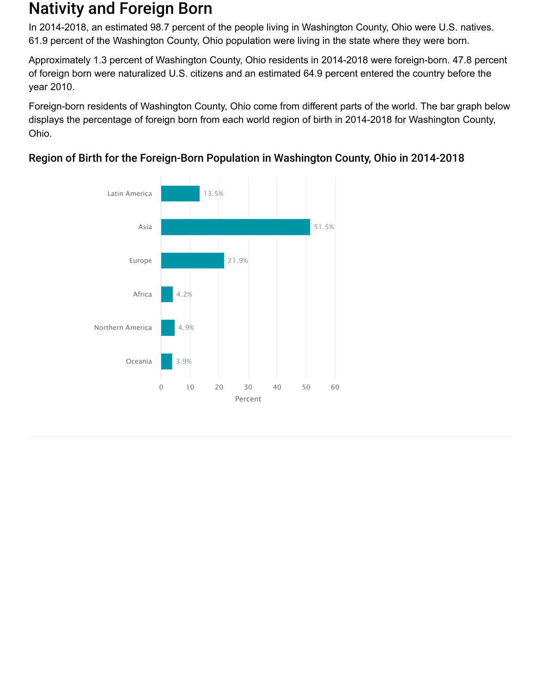### Nativity and Foreign Born

In 2014-2018, an estimated 98.7 percent of the people living in Washington County, Ohio were U.S. natives. 61.9 percent of the Washington County, Ohio population were living in the state where they were born.

Approximately 1.3 percent of Washington County, Ohio residents in 2014-2018 were foreign-born. 47.8 percent of foreign born were naturalized U.S. citizens and an estimated 64.9 percent entered the country before the year 2010.

Foreign-born residents of Washington County, Ohio come from different parts of the world. The bar graph below displays the percentage of foreign born from each world region of birth in 2014-2018 for Washington County, Ohio.



### Region of Birth for the Foreign-Born Population in Washington County, Ohio in 2014-2018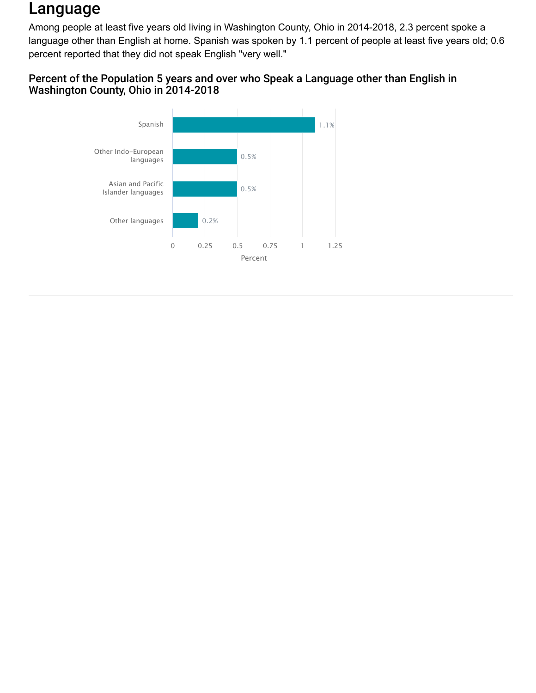## Language

Among people at least five years old living in Washington County, Ohio in 2014-2018, 2.3 percent spoke a language other than English at home. Spanish was spoken by 1.1 percent of people at least five years old; 0.6 percent reported that they did not speak English "very well."

#### Percent of the Population 5 years and over who Speak a Language other than English in Washington County, Ohio in 2014-2018

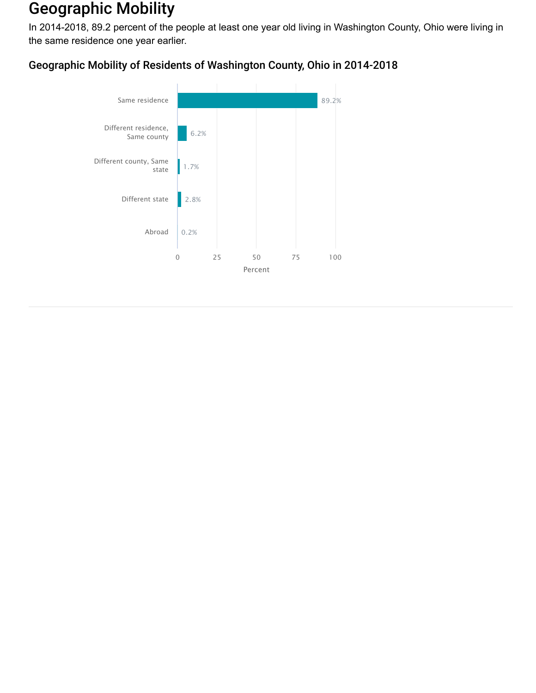### Geographic Mobility

In 2014-2018, 89.2 percent of the people at least one year old living in Washington County, Ohio were living in the same residence one year earlier.

### Geographic Mobility of Residents of Washington County, Ohio in 2014-2018

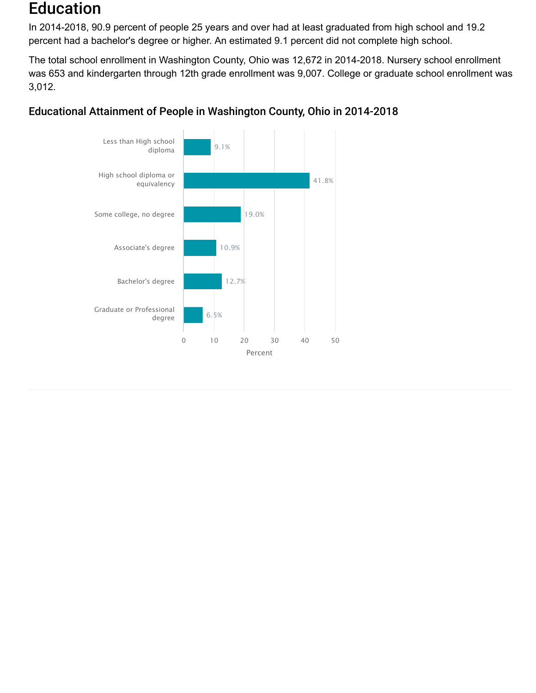### Education

In 2014-2018, 90.9 percent of people 25 years and over had at least graduated from high school and 19.2 percent had a bachelor's degree or higher. An estimated 9.1 percent did not complete high school.

The total school enrollment in Washington County, Ohio was 12,672 in 2014-2018. Nursery school enrollment was 653 and kindergarten through 12th grade enrollment was 9,007. College or graduate school enrollment was 3,012.



#### Educational Attainment of People in Washington County, Ohio in 2014-2018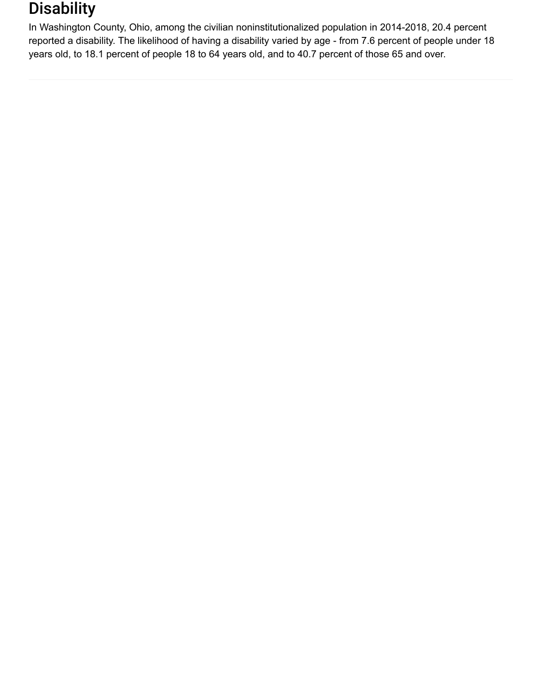### **Disability**

In Washington County, Ohio, among the civilian noninstitutionalized population in 2014-2018, 20.4 percent reported a disability. The likelihood of having a disability varied by age - from 7.6 percent of people under 18 years old, to 18.1 percent of people 18 to 64 years old, and to 40.7 percent of those 65 and over.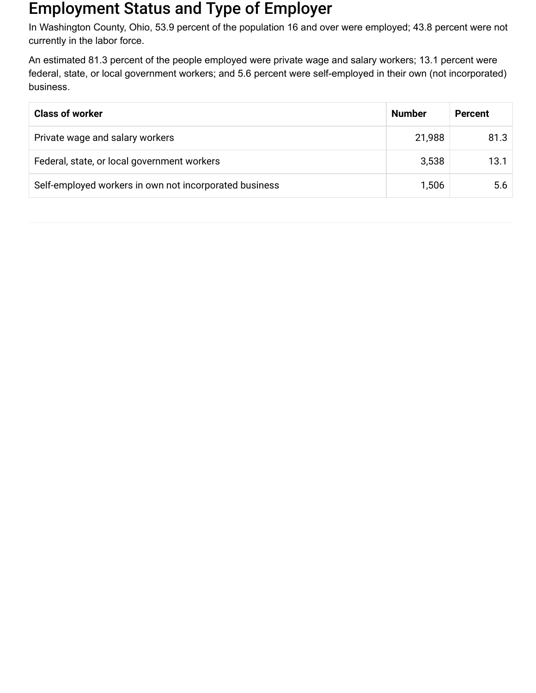### Employment Status and Type of Employer

In Washington County, Ohio, 53.9 percent of the population 16 and over were employed; 43.8 percent were not currently in the labor force.

An estimated 81.3 percent of the people employed were private wage and salary workers; 13.1 percent were federal, state, or local government workers; and 5.6 percent were self-employed in their own (not incorporated) business.

| <b>Class of worker</b>                                 | <b>Number</b> | <b>Percent</b> |
|--------------------------------------------------------|---------------|----------------|
| Private wage and salary workers                        | 21,988        | 81.3           |
| Federal, state, or local government workers            | 3,538         | 13.1           |
| Self-employed workers in own not incorporated business | 1,506         | 5.6            |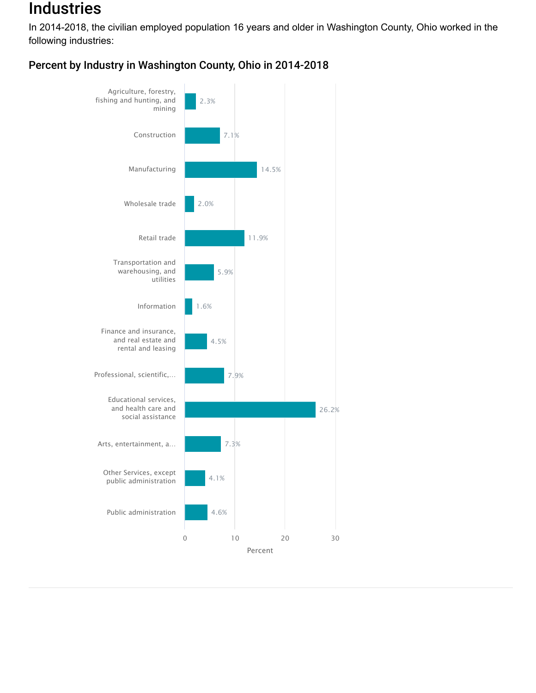### Industries

In 2014-2018, the civilian employed population 16 years and older in Washington County, Ohio worked in the following industries:



### Percent by Industry in Washington County, Ohio in 2014-2018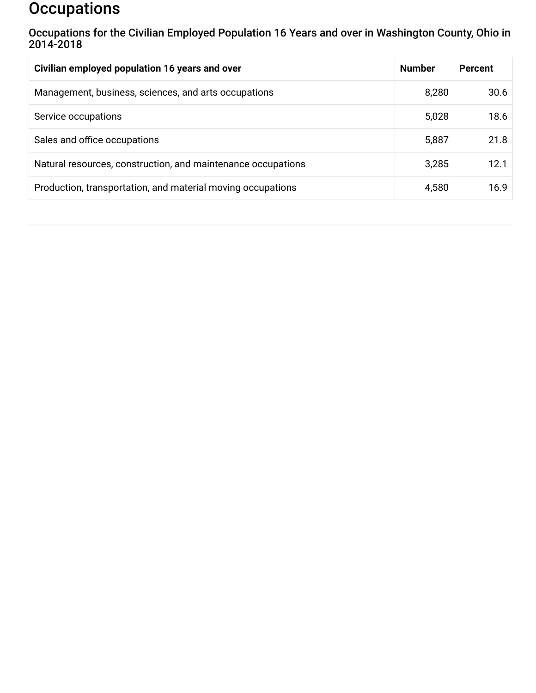### **Occupations**

Occupations for the Civilian Employed Population 16 Years and over in Washington County, Ohio in 2014-2018

| Civilian employed population 16 years and over               | <b>Number</b> | <b>Percent</b> |
|--------------------------------------------------------------|---------------|----------------|
| Management, business, sciences, and arts occupations         | 8,280         | 30.6           |
| Service occupations                                          | 5,028         | 18.6           |
| Sales and office occupations                                 | 5,887         | 21.8           |
| Natural resources, construction, and maintenance occupations | 3,285         | 12.1           |
| Production, transportation, and material moving occupations  | 4,580         | 16.9           |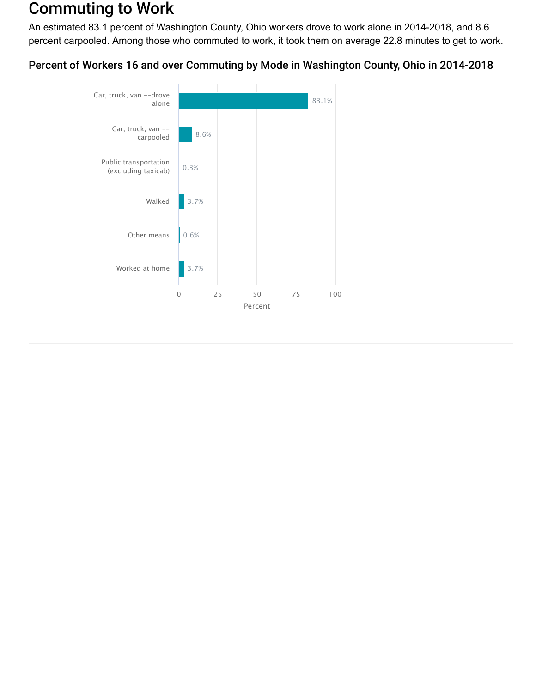### Commuting to Work

An estimated 83.1 percent of Washington County, Ohio workers drove to work alone in 2014-2018, and 8.6 percent carpooled. Among those who commuted to work, it took them on average 22.8 minutes to get to work.

Percent of Workers 16 and over Commuting by Mode in Washington County, Ohio in 2014-2018

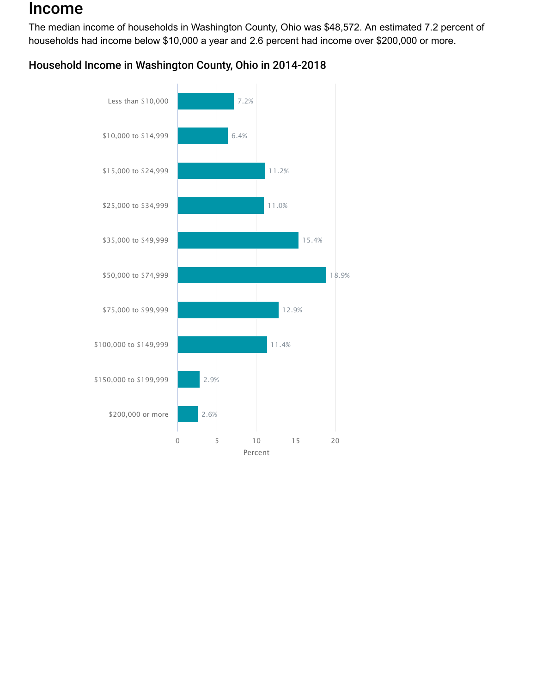### Income

The median income of households in Washington County, Ohio was \$48,572. An estimated 7.2 percent of households had income below \$10,000 a year and 2.6 percent had income over \$200,000 or more.



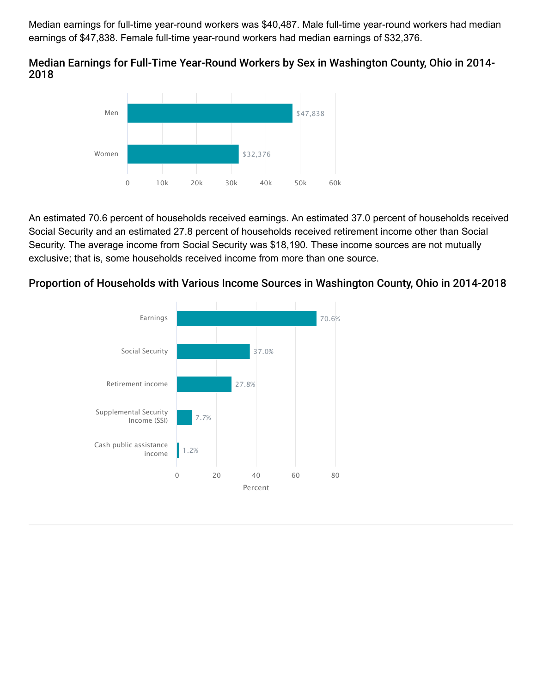Median earnings for full-time year-round workers was \$40,487. Male full-time year-round workers had median earnings of \$47,838. Female full-time year-round workers had median earnings of \$32,376.

#### Median Earnings for Full-Time Year-Round Workers by Sex in Washington County, Ohio in 2014- 2018



An estimated 70.6 percent of households received earnings. An estimated 37.0 percent of households received Social Security and an estimated 27.8 percent of households received retirement income other than Social Security. The average income from Social Security was \$18,190. These income sources are not mutually exclusive; that is, some households received income from more than one source.

#### Proportion of Households with Various Income Sources in Washington County, Ohio in 2014-2018

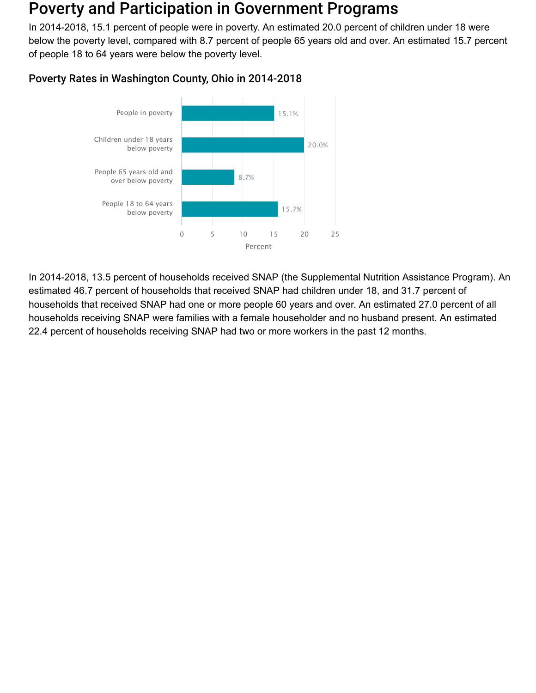### Poverty and Participation in Government Programs

In 2014-2018, 15.1 percent of people were in poverty. An estimated 20.0 percent of children under 18 were below the poverty level, compared with 8.7 percent of people 65 years old and over. An estimated 15.7 percent of people 18 to 64 years were below the poverty level.



#### Poverty Rates in Washington County, Ohio in 2014-2018

In 2014-2018, 13.5 percent of households received SNAP (the Supplemental Nutrition Assistance Program). An estimated 46.7 percent of households that received SNAP had children under 18, and 31.7 percent of households that received SNAP had one or more people 60 years and over. An estimated 27.0 percent of all households receiving SNAP were families with a female householder and no husband present. An estimated 22.4 percent of households receiving SNAP had two or more workers in the past 12 months.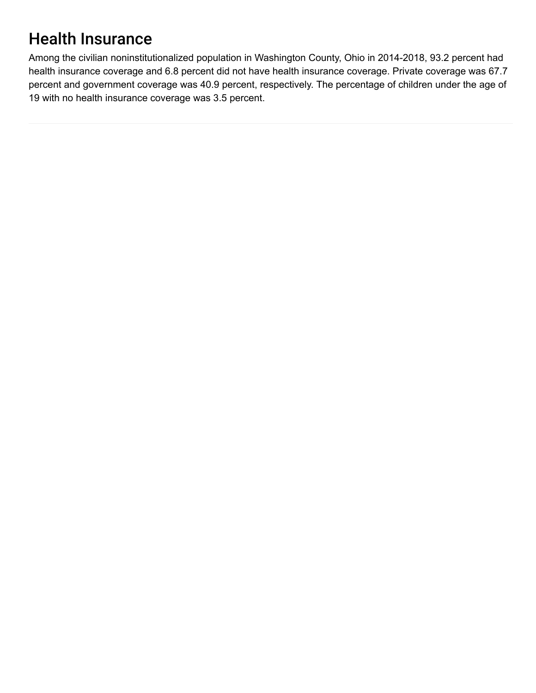# Health Insurance

Among the civilian noninstitutionalized population in Washington County, Ohio in 2014-2018, 93.2 percent had health insurance coverage and 6.8 percent did not have health insurance coverage. Private coverage was 67.7 percent and government coverage was 40.9 percent, respectively. The percentage of children under the age of 19 with no health insurance coverage was 3.5 percent.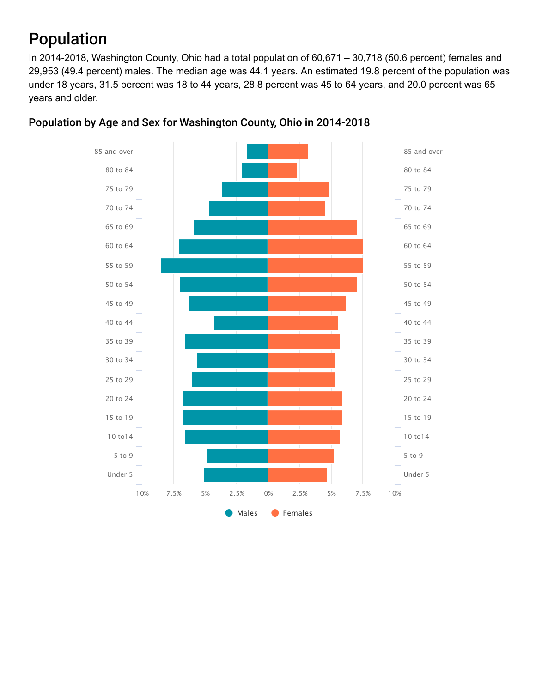# Population

In 2014-2018, Washington County, Ohio had a total population of 60,671 – 30,718 (50.6 percent) females and 29,953 (49.4 percent) males. The median age was 44.1 years. An estimated 19.8 percent of the population was under 18 years, 31.5 percent was 18 to 44 years, 28.8 percent was 45 to 64 years, and 20.0 percent was 65 years and older.



#### Population by Age and Sex for Washington County, Ohio in 2014-2018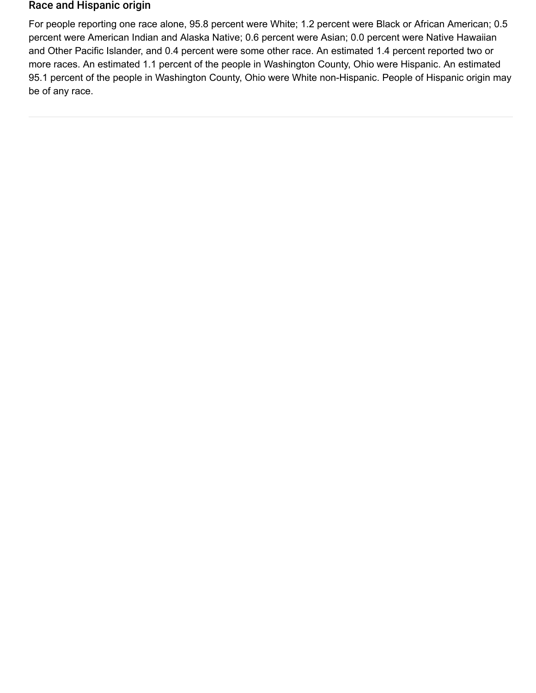#### Race and Hispanic origin

For people reporting one race alone, 95.8 percent were White; 1.2 percent were Black or African American; 0.5 percent were American Indian and Alaska Native; 0.6 percent were Asian; 0.0 percent were Native Hawaiian and Other Pacific Islander, and 0.4 percent were some other race. An estimated 1.4 percent reported two or more races. An estimated 1.1 percent of the people in Washington County, Ohio were Hispanic. An estimated 95.1 percent of the people in Washington County, Ohio were White non-Hispanic. People of Hispanic origin may be of any race.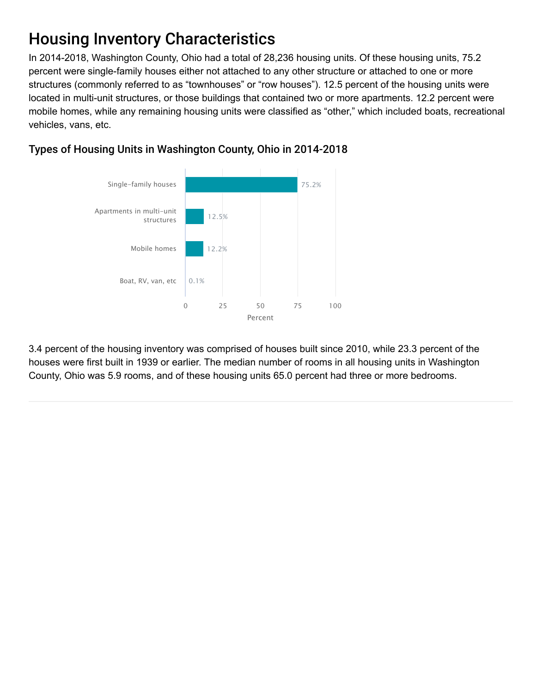# Housing Inventory Characteristics

In 2014-2018, Washington County, Ohio had a total of 28,236 housing units. Of these housing units, 75.2 percent were single-family houses either not attached to any other structure or attached to one or more structures (commonly referred to as "townhouses" or "row houses"). 12.5 percent of the housing units were located in multi-unit structures, or those buildings that contained two or more apartments. 12.2 percent were mobile homes, while any remaining housing units were classified as "other," which included boats, recreational vehicles, vans, etc.



### Types of Housing Units in Washington County, Ohio in 2014-2018

3.4 percent of the housing inventory was comprised of houses built since 2010, while 23.3 percent of the houses were first built in 1939 or earlier. The median number of rooms in all housing units in Washington County, Ohio was 5.9 rooms, and of these housing units 65.0 percent had three or more bedrooms.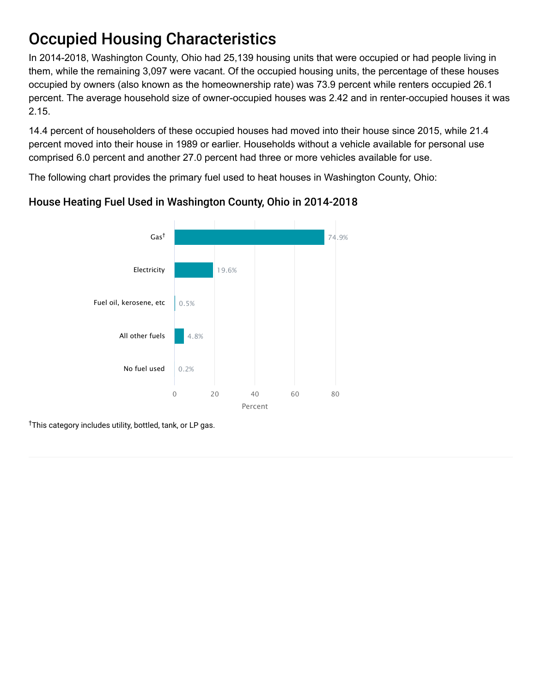# Occupied Housing Characteristics

In 2014-2018, Washington County, Ohio had 25,139 housing units that were occupied or had people living in them, while the remaining 3,097 were vacant. Of the occupied housing units, the percentage of these houses occupied by owners (also known as the homeownership rate) was 73.9 percent while renters occupied 26.1 percent. The average household size of owner-occupied houses was 2.42 and in renter-occupied houses it was 2.15.

14.4 percent of householders of these occupied houses had moved into their house since 2015, while 21.4 percent moved into their house in 1989 or earlier. Households without a vehicle available for personal use comprised 6.0 percent and another 27.0 percent had three or more vehicles available for use.

The following chart provides the primary fuel used to heat houses in Washington County, Ohio:



### House Heating Fuel Used in Washington County, Ohio in 2014-2018

<sup>†</sup>This category includes utility, bottled, tank, or LP gas.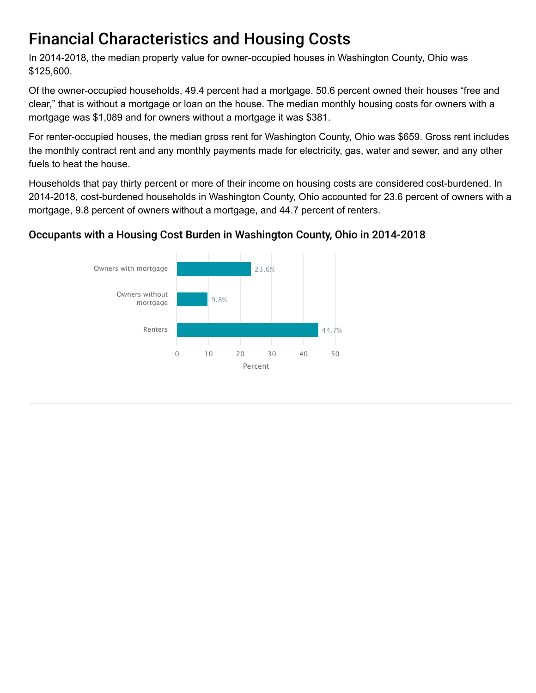# Financial Characteristics and Housing Costs

In 2014-2018, the median property value for owner-occupied houses in Washington County, Ohio was \$125,600.

Of the owner-occupied households, 49.4 percent had a mortgage. 50.6 percent owned their houses "free and clear," that is without a mortgage or loan on the house. The median monthly housing costs for owners with a mortgage was \$1,089 and for owners without a mortgage it was \$381.

For renter-occupied houses, the median gross rent for Washington County, Ohio was \$659. Gross rent includes the monthly contract rent and any monthly payments made for electricity, gas, water and sewer, and any other fuels to heat the house.

Households that pay thirty percent or more of their income on housing costs are considered cost-burdened. In 2014-2018, cost-burdened households in Washington County, Ohio accounted for 23.6 percent of owners with a mortgage, 9.8 percent of owners without a mortgage, and 44.7 percent of renters.

### Occupants with a Housing Cost Burden in Washington County, Ohio in 2014-2018

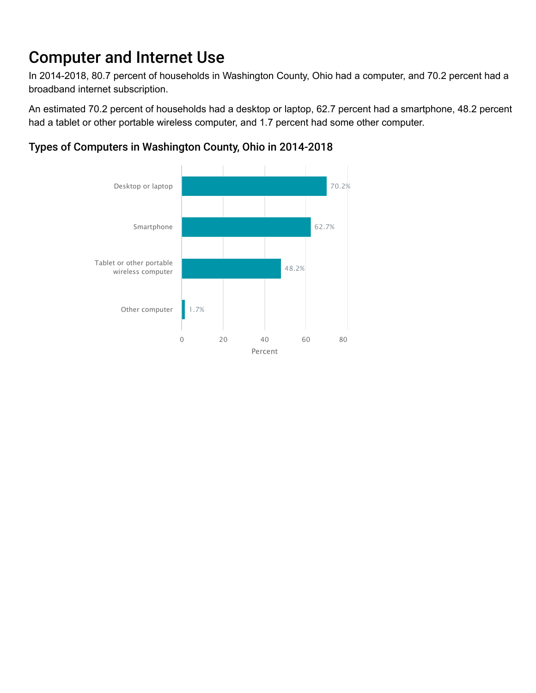# Computer and Internet Use

In 2014-2018, 80.7 percent of households in Washington County, Ohio had a computer, and 70.2 percent had a broadband internet subscription.

An estimated 70.2 percent of households had a desktop or laptop, 62.7 percent had a smartphone, 48.2 percent had a tablet or other portable wireless computer, and 1.7 percent had some other computer.



#### Types of Computers in Washington County, Ohio in 2014-2018